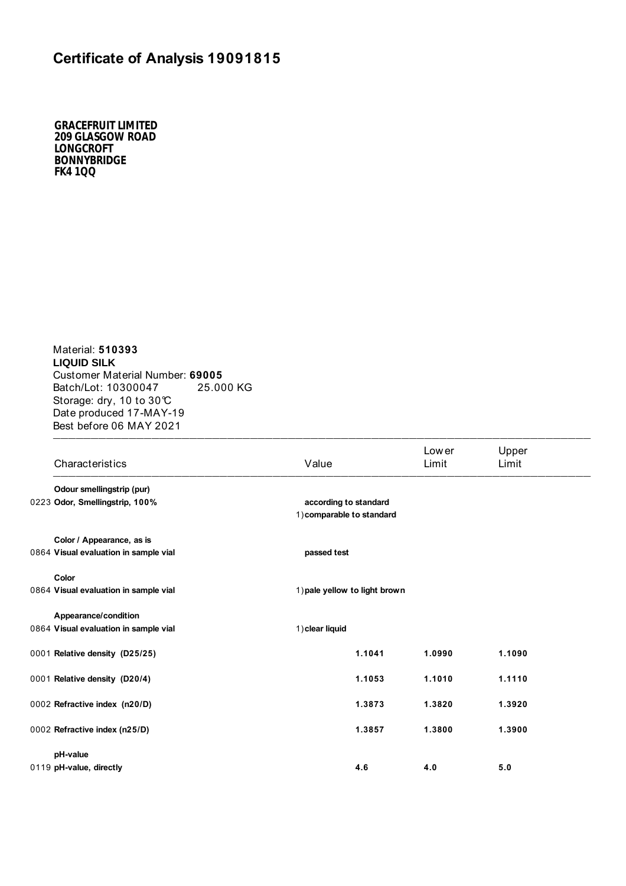## **Certificate of Analysis 19091815**

*GRACEFRUIT LIMITED 209 GLASGOW ROAD LONGCROFT BONNYBRIDGE FK4 1QQ*

 $\blacksquare$ Material: **510393 LIQUID SILK**  Customer Material Number: **69005** Batch/Lot: 10300047 25.000 KG Storage: dry, 10 to 30°C Date produced 17-MAY-19 Best before 06 MAY 2021

| Characteristics                       | Value                                              |        | Low er<br>Limit | Upper<br>Limit |
|---------------------------------------|----------------------------------------------------|--------|-----------------|----------------|
| Odour smellingstrip (pur)             |                                                    |        |                 |                |
| 0223 Odor, Smellingstrip, 100%        | according to standard<br>1) comparable to standard |        |                 |                |
| Color / Appearance, as is             |                                                    |        |                 |                |
| 0864 Visual evaluation in sample vial | passed test                                        |        |                 |                |
| Color                                 |                                                    |        |                 |                |
| 0864 Visual evaluation in sample vial | 1) pale yellow to light brown                      |        |                 |                |
| Appearance/condition                  |                                                    |        |                 |                |
| 0864 Visual evaluation in sample vial | 1) clear liquid                                    |        |                 |                |
| 0001 Relative density (D25/25)        |                                                    | 1.1041 | 1.0990          | 1.1090         |
| 0001 Relative density (D20/4)         |                                                    | 1.1053 | 1.1010          | 1.1110         |
| 0002 Refractive index (n20/D)         |                                                    | 1.3873 | 1.3820          | 1.3920         |
| 0002 Refractive index (n25/D)         |                                                    | 1.3857 | 1.3800          | 1.3900         |
| pH-value                              |                                                    |        |                 |                |
| 0119 pH-value, directly               |                                                    | 4.6    | 4.0             | 5.0            |